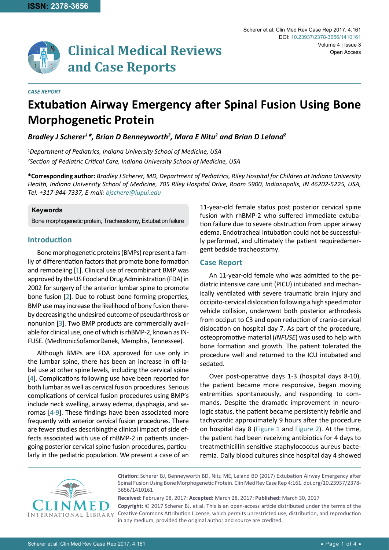

# **Extubation Airway Emergency after Spinal Fusion Using Bone Morphogenetic Protein**

# *Bradley J Scherer1 \*, Brian D Benneyworth2 , Mara E Nitu2 and Brian D Leland2*

*1 Department of Pediatrics, Indiana University School of Medicine, USA 2 Section of Pediatric Critical Care, Indiana University School of Medicine, USA*

**\*Corresponding author:** *Bradley J Scherer, MD, Department of Pediatrics, Riley Hospital for Children at Indiana University Health, Indiana University School of Medicine, 705 Riley Hospital Drive, Room 5900, Indianapolis, IN 46202-5225, USA, Tel: +317-944-7337, E-mail: bjschere@iupui.edu*

#### **Keywords**

*CASE REPORT*

Bone morphogenetic protein, Tracheostomy, Extubation failure

## **Introduction**

Bone morphogenetic proteins (BMPs) represent a family of differentiation factors that promote bone formation and remodeling [[1](#page-2-0)]. Clinical use of recombinant BMP was approved by the US Food and Drug Administration (FDA) in 2002 for surgery of the anterior lumbar spine to promote bone fusion [[2](#page-2-1)]. Due to robust bone forming properties, BMP use may increase the likelihood of bony fusion thereby decreasing the undesired outcome of pseudarthrosis or nonunion [\[3](#page-2-2)]. Two BMP products are commercially available for clinical use, one of which is rhBMP-2, known as IN-FUSE. (MedtronicSofamorDanek, Memphis, Tennessee).

Although BMPs are FDA approved for use only in the lumbar spine, there has been an increase in off-label use at other spine levels, including the cervical spine [[4](#page-2-3)]. Complications following use have been reported for both lumbar as well as cervical fusion procedures. Serious complications of cervical fusion procedures using BMP's include neck swelling, airway edema, dysphagia, and seromas [[4](#page-2-3)[-9\]](#page-2-4). These findings have been associated more frequently with anterior cervical fusion procedures. There are fewer studies describingthe clinical impact of side effects associated with use of rhBMP-2 in patients undergoing posterior cervical spine fusion procedures, particularly in the pediatric population. We present a case of an

11-year-old female status post posterior cervical spine fusion with rhBMP-2 who suffered immediate extubation failure due to severe obstruction from upper airway edema. Endotracheal intubation could not be successfully performed, and ultimately the patient requiredemergent bedside tracheostomy.

## **Case Report**

An 11-year-old female who was admitted to the pediatric intensive care unit (PICU) intubated and mechanically ventilated with severe traumatic brain injury and occipito-cervical dislocation following a high speed motor vehicle collision, underwent both posterior arthrodesis from occiput to C3 and open reduction of cranio-cervical dislocation on hospital day 7. As part of the procedure, osteopromotive material (*INFUSE*) was used to help with bone formation and growth. The patient tolerated the procedure well and returned to the ICU intubated and sedated.

Over post-operative days 1-3 (hospital days 8-10), the patient became more responsive, began moving extremities spontaneously, and responding to commands. Despite the dramatic improvement in neurologic status, the patient became persistently febrile and tachycardic approximately 9 hours after the procedure on hospital day 8 ([Figure 1](#page-1-0) and [Figure 2\)](#page-1-1). At the time, the patient had been receiving antibiotics for 4 days to treatmethicillin sensitive staphylococcus aureus bacteremia. Daily blood cultures since hospital day 4 showed



**Citation:** Scherer BJ, Benneyworth BD, Nitu ME, Leland BD (2017) Extubation Airway Emergency after Spinal Fusion Using Bone Morphogenetic Protein. Clin Med Rev Case Rep 4:161. [doi.org/10.23937/2378-](https://doi.org/10.23937/2378-3656/1410161) [3656/14101](https://doi.org/10.23937/2378-3656/1410161)61

**Received:** February 08, 2017: **Accepted:** March 28, 2017: **Published:** March 30, 2017 **Copyright:** © 2017 Scherer BJ, et al. This is an open-access article distributed under the terms of the Creative Commons Attribution License, which permits unrestricted use, distribution, and reproduction in any medium, provided the original author and source are credited.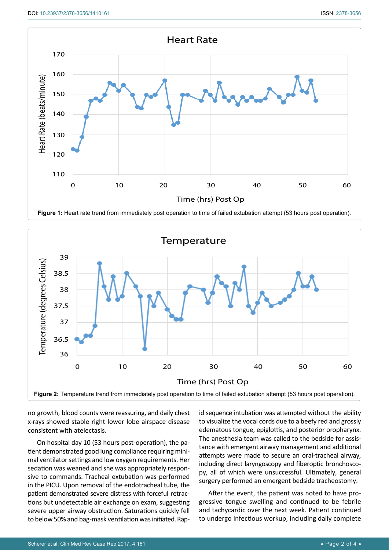<span id="page-1-0"></span>

<span id="page-1-1"></span>

no growth, blood counts were reassuring, and daily chest x-rays showed stable right lower lobe airspace disease consistent with atelectasis.

On hospital day 10 (53 hours post-operation), the patient demonstrated good lung compliance requiring minimal ventilator settings and low oxygen requirements. Her sedation was weaned and she was appropriately responsive to commands. Tracheal extubation was performed in the PICU. Upon removal of the endotracheal tube, the patient demonstrated severe distress with forceful retractions but undetectable air exchange on exam, suggesting severe upper airway obstruction. Saturations quickly fell to below 50% and bag-mask ventilation was initiated. Rapid sequence intubation was attempted without the ability to visualize the vocal cords due to a beefy red and grossly edematous tongue, epiglottis, and posterior oropharynx. The anesthesia team was called to the bedside for assistance with emergent airway management and additional attempts were made to secure an oral-tracheal airway, including direct laryngoscopy and fiberoptic bronchoscopy, all of which were unsuccessful. Ultimately, general surgery performed an emergent bedside tracheostomy.

After the event, the patient was noted to have progressive tongue swelling and continued to be febrile and tachycardic over the next week. Patient continued to undergo infectious workup, including daily complete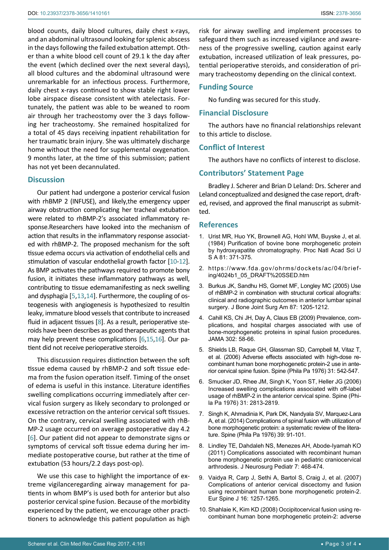blood counts, daily blood cultures, daily chest x-rays, and an abdominal ultrasound looking for splenic abscess in the days following the failed extubation attempt. Other than a white blood cell count of 29.1 k the day after the event (which declined over the next several days), all blood cultures and the abdominal ultrasound were unremarkable for an infectious process. Furthermore, daily chest x-rays continued to show stable right lower lobe airspace disease consistent with atelectasis. Fortunately, the patient was able to be weaned to room air through her tracheostomy over the 3 days following her tracheostomy. She remained hospitalized for a total of 45 days receiving inpatient rehabilitation for her traumatic brain injury. She was ultimately discharge home without the need for supplemental oxygenation. 9 months later, at the time of this submission; patient has not yet been decannulated.

#### **Discussion**

Our patient had undergone a posterior cervical fusion with rhBMP 2 (INFUSE), and likely,the emergency upper airway obstruction complicating her tracheal extubation were related to rhBMP-2's associated inflammatory response.Researchers have looked into the mechanism of action that results in the inflammatory response associated with rhBMP-2. The proposed mechanism for the soft tissue edema occurs via activation of endothelial cells and stimulation of vascular endothelial growth factor [[10](#page-2-5)-[12](#page-3-0)]. As BMP activates the pathways required to promote bony fusion, it initiates these inflammatory pathways as well, contributing to tissue edemamanifesting as neck swelling and dysphagia [[5](#page-2-6),[13](#page-3-1),[14](#page-3-2)]. Furthermore, the coupling of osteogenesis with angiogenesis is hypothesized to resultin leaky, immature blood vessels that contribute to increased fluid in adjacent tissues [[8\]](#page-2-7). As a result, perioperative steroids have been describes as good therapeutic agents that may help prevent these complications [\[6](#page-2-8),[15](#page-3-3),[16\]](#page-3-4). Our patient did not receive perioperative steroids.

This discussion requires distinction between the soft tissue edema caused by rhBMP-2 and soft tissue edema from the fusion operation itself. Timing of the onset of edema is useful in this instance. Literature identifies swelling complications occurring immediately after cervical fusion surgery as likely secondary to prolonged or excessive retraction on the anterior cervical soft tissues. On the contrary, cervical swelling associated with rhB-MP-2 usage occurred on average postoperative day 4.2 [[6](#page-2-8)]. Our patient did not appear to demonstrate signs or symptoms of cervical soft tissue edema during her immediate postoperative course, but rather at the time of extubation (53 hours/2.2 days post-op).

We use this case to highlight the importance of extreme vigilanceregarding airway management for patients in whom BMP's is used both for anterior but also posterior cervical spine fusion. Because of the morbidity experienced by the patient, we encourage other practitioners to acknowledge this patient population as high

risk for airway swelling and implement processes to safeguard them such as increased vigilance and awareness of the progressive swelling, caution against early extubation, increased utilization of leak pressures, potential perioperative steroids, and consideration of primary tracheostomy depending on the clinical context.

#### **Funding Source**

No funding was secured for this study.

#### **Financial Disclosure**

The authors have no financial relationships relevant to this article to disclose.

#### **Conflict of Interest**

The authors have no conflicts of interest to disclose.

#### **Contributors' Statement Page**

Bradley J. Scherer and Brian D Leland: Drs. Scherer and Leland conceptualized and designed the case report, drafted, revised, and approved the final manuscript as submitted.

#### **References**

- <span id="page-2-0"></span>1. [Urist MR, Huo YK, Brownell AG, Hohl WM,](https://www.ncbi.nlm.nih.gov/pubmed/6320184) Buyske J, et al. [\(1984\) Purification of bovine bone morphogenetic protein](https://www.ncbi.nlm.nih.gov/pubmed/6320184)  [by hydroxyapatite chromatography. Proc Natl Acad Sci U](https://www.ncbi.nlm.nih.gov/pubmed/6320184)  [S A 81: 371-375.](https://www.ncbi.nlm.nih.gov/pubmed/6320184)
- <span id="page-2-1"></span>2. [https://www.fda.gov/ohrms/dockets/ac/04/brief](https://www.fda.gov/ohrms/dockets/ac/04/briefing/4024b1_05_DRAFT SSED.htm)[ing/4024b1\\_05\\_DRAFT%20SSED.htm](https://www.fda.gov/ohrms/dockets/ac/04/briefing/4024b1_05_DRAFT SSED.htm)
- <span id="page-2-2"></span>3. [Burkus JK, Sandhu HS, Gornet MF, Longley MC \(2005\) Use](http://journals.lww.com/jbjsjournal/Abstract/2005/06000/Use_of_rhBMP_2_in_Combination_with_Structural.4.aspx)  [of rhBMP-2 in combination with structural cortical allografts:](http://journals.lww.com/jbjsjournal/Abstract/2005/06000/Use_of_rhBMP_2_in_Combination_with_Structural.4.aspx)  [clinical and radiographic outcomes in anterior lumbar spinal](http://journals.lww.com/jbjsjournal/Abstract/2005/06000/Use_of_rhBMP_2_in_Combination_with_Structural.4.aspx)  [surgery. J Bone Joint Surg Am 87: 1205-1212.](http://journals.lww.com/jbjsjournal/Abstract/2005/06000/Use_of_rhBMP_2_in_Combination_with_Structural.4.aspx)
- <span id="page-2-3"></span>4. [Cahill KS, Chi JH, Day A, Claus EB \(2009\) Prevalence,](https://www.ncbi.nlm.nih.gov/pubmed/19567440) com[plications, and hospital charges associated with use of](https://www.ncbi.nlm.nih.gov/pubmed/19567440)  [bone-morphogenetic proteins in spinal fusion procedures.](https://www.ncbi.nlm.nih.gov/pubmed/19567440)  [JAMA 302: 58-66.](https://www.ncbi.nlm.nih.gov/pubmed/19567440)
- <span id="page-2-6"></span>5. [Shields LB, Raque GH, Glassman SD, Campbell M,](https://www.ncbi.nlm.nih.gov/pubmed/16508549) Vitaz T, [et al. \(2006\) Adverse effects associated with high-dose re](https://www.ncbi.nlm.nih.gov/pubmed/16508549)[combinant human bone morphogenetic protein-2 use in ante](https://www.ncbi.nlm.nih.gov/pubmed/16508549)[rior cervical spine fusion. Spine \(Phila Pa 1976\) 31: 542-547.](https://www.ncbi.nlm.nih.gov/pubmed/16508549)
- <span id="page-2-8"></span>6. [Smucker JD, Rhee JM, Singh K, Yoon ST, Heller JG \(2006\)](https://www.ncbi.nlm.nih.gov/pubmed/17108835)  [Increased swelling complications associated with off-label](https://www.ncbi.nlm.nih.gov/pubmed/17108835)  [usage of rhBMP-2 in the anterior cervical spine. Spine \(Phi](https://www.ncbi.nlm.nih.gov/pubmed/17108835)[la Pa 1976\) 31: 2813-2819.](https://www.ncbi.nlm.nih.gov/pubmed/17108835)
- 7. [Singh K, Ahmadinia K, Park DK, Nandyala SV,](https://www.ncbi.nlm.nih.gov/pubmed/24026158) Marquez-Lara [A, et al. \(2014\) Complications of spinal fusion with utilization of](https://www.ncbi.nlm.nih.gov/pubmed/24026158)  [bone morphogenetic protein: a systematic review of the litera](https://www.ncbi.nlm.nih.gov/pubmed/24026158)[ture. Spine \(Phila Pa 1976\) 39: 91-101.](https://www.ncbi.nlm.nih.gov/pubmed/24026158)
- <span id="page-2-7"></span>8. [Lindley TE, Dahdaleh NS, Menezes AH, Abode-Iyamah KO](https://www.ncbi.nlm.nih.gov/pubmed/21529186)  [\(2011\) Complications associated with recombinant human](https://www.ncbi.nlm.nih.gov/pubmed/21529186)  [bone morphogenetic protein use in pediatric craniocervical](https://www.ncbi.nlm.nih.gov/pubmed/21529186)  [arthrodesis. J Neurosurg Pediatr 7: 468-474.](https://www.ncbi.nlm.nih.gov/pubmed/21529186)
- <span id="page-2-4"></span>9. [Vaidya R, Carp J, Sethi A, Bartol S, Craig J, et al. \(2007\)](https://www.ncbi.nlm.nih.gov/pubmed/17387522)  [Complications of anterior cervical discectomy and fusion](https://www.ncbi.nlm.nih.gov/pubmed/17387522)  [using recombinant human bone morphogenetic protein-2.](https://www.ncbi.nlm.nih.gov/pubmed/17387522)  [Eur Spine J 16: 1257-1265.](https://www.ncbi.nlm.nih.gov/pubmed/17387522)
- <span id="page-2-5"></span>10. [Shahlaie K, Kim KD \(2008\) Occipitocervical fusion using re](https://www.ncbi.nlm.nih.gov/pubmed/18827703)[combinant human bone morphogenetic protein-2: adverse](https://www.ncbi.nlm.nih.gov/pubmed/18827703)